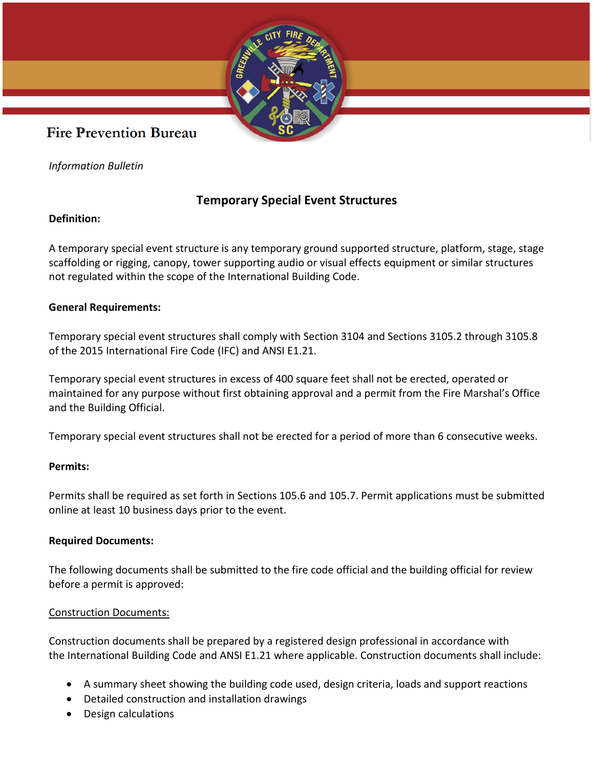

## **Fire Prevention Bureau**

*Information Bulletin*

### **Temporary Special Event Structures**

#### **Definition:**

A temporary special event structure is any temporary ground supported structure, platform, stage, stage scaffolding or rigging, canopy, tower supporting audio or visual effects equipment or similar structures not regulated within the scope of the International Building Code.

#### **General Requirements:**

Temporary special event structures shall comply with Section 3104 and Sections 3105.2 through 3105.8 of the 2015 International Fire Code (IFC) and ANSI E1.21.

Temporary special event structures in excess of 400 square feet shall not be erected, operated or maintained for any purpose without first obtaining approval and a permit from the Fire Marshal's Office and the Building Official.

Temporary special event structures shall not be erected for a period of more than 6 consecutive weeks.

#### **Permits:**

Permits shall be required as set forth in Sections 105.6 and 105.7. Permit applications must be submitted online at least 10 business days prior to the event.

#### **Required Documents:**

The following documents shall be submitted to the [fire code official](https://up.codes/viewer/wyoming/ifc-2018/chapter/2/definitions#fire_code_official) and the [building official](https://up.codes/viewer/wyoming/ifc-2018/chapter/2/definitions#building_official) for review before a [permit](https://up.codes/viewer/wyoming/ifc-2018/chapter/2/definitions#permit) is approved:

#### [Construction Documents:](https://up.codes/viewer/wyoming/ifc-2018/chapter/2/definitions#construction_documents)

[Construction documents](https://up.codes/viewer/wyoming/ifc-2018/chapter/2/definitions#construction_documents) shall be prepared by a [registered design professional](https://up.codes/viewer/wyoming/ifc-2018/chapter/2/definitions#registered_design_professional) in accordance with the [International Building Code](https://up.codes/viewer/wyoming/ibc-2018) and ANSI E1.21 where applicable. [Construction documents](https://up.codes/viewer/wyoming/ifc-2018/chapter/2/definitions#construction_documents) shall include:

- A summary sheet showing the [building code](https://up.codes/viewer/wyoming/ibc-2018) used, design criteria, loads and support reactions
- Detailed construction and installation drawings
- Design calculations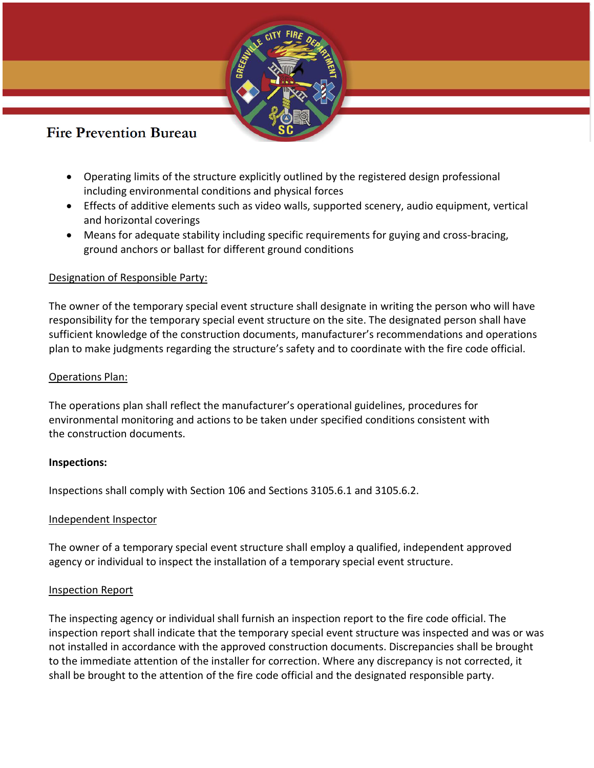

## **Fire Prevention Bureau**

- Operating limits of the structure explicitly outlined by the [registered design](https://up.codes/viewer/wyoming/ifc-2018/chapter/2/definitions#registered_design_professional) professional [including e](https://up.codes/viewer/wyoming/ifc-2018/chapter/2/definitions#registered_design_professional)nvironmental conditions and physical forces
- Effects of additive elements such as video walls, supported scenery, audio equipment, vertical and horizontal coverings
- Means for adequate stability including specific requirements for guying and cross-bracing, ground anchors or ballast for different ground conditions

#### Designation of Responsible Party:

The [owner](https://up.codes/viewer/wyoming/ifc-2018/chapter/2/definitions#owner) of the [temporary special event structure](https://up.codes/viewer/wyoming/ifc-2018/chapter/2/definitions#temporary_special_event_structure) shall designate in writing the person who will have responsibility for the [temporary special event structure](https://up.codes/viewer/wyoming/ifc-2018/chapter/2/definitions#temporary_special_event_structure) on the [site.](https://up.codes/viewer/wyoming/ifc-2018/chapter/2/definitions#site) The designated person shall have sufficient knowledge of the [construction documents,](https://up.codes/viewer/wyoming/ifc-2018/chapter/2/definitions#construction_documents) manufacturer's recommendations and operations plan to make judgments regarding the structure's safety and to coordinate with the [fire code official.](https://up.codes/viewer/wyoming/ifc-2018/chapter/2/definitions#fire_code_official)

#### Operations Plan:

The operations plan shall reflect the manufacturer's operational guidelines, procedures for environmental monitoring and actions to be taken under specified conditions consistent with the [construction documents.](https://up.codes/viewer/wyoming/ifc-2018/chapter/2/definitions#construction_documents)

#### **Inspections:**

Inspections shall comply with [Section 106](https://up.codes/viewer/wyoming/ifc-2018/chapter/1/scope-and-administration#106) and Sections [3105.6.1](https://up.codes/viewer/wyoming/ifc-2018/chapter/31/tents-temporary-special-event-structures-and-other-membrane-structures#3105.6.1) and [3105.6.2.](https://up.codes/viewer/wyoming/ifc-2018/chapter/31/tents-temporary-special-event-structures-and-other-membrane-structures#3105.6.2)

#### Independent Inspector

The [owner](https://up.codes/viewer/wyoming/ifc-2018/chapter/2/definitions#owner) of a [temporary special event structure](https://up.codes/viewer/wyoming/ifc-2018/chapter/2/definitions#temporary_special_event_structure) shall employ a qualified, independent approved agency or individual to inspect the installation of a [temporary special event structure.](https://up.codes/viewer/wyoming/ifc-2018/chapter/2/definitions#temporary_special_event_structure)

#### Inspection Report

The inspecting [agency](https://up.codes/viewer/wyoming/ifc-2018/chapter/2/definitions#agency) or individual shall furnish an inspection report to the [fire code official.](https://up.codes/viewer/wyoming/ifc-2018/chapter/2/definitions#fire_code_official) The inspection report shall indicate that the [temporary special event structure](https://up.codes/viewer/wyoming/ifc-2018/chapter/2/definitions#temporary_special_event_structure) was inspected and was or was not installed in accordance with the approved [construction documents.](https://up.codes/viewer/wyoming/ifc-2018/chapter/2/definitions#construction_documents) Discrepancies shall be brought to the immediate attention of the installer for correction. Where any discrepancy is not corrected, it shall be brought to the attention of the [fire code official](https://up.codes/viewer/wyoming/ifc-2018/chapter/2/definitions#fire_code_official) and the designated responsible party.